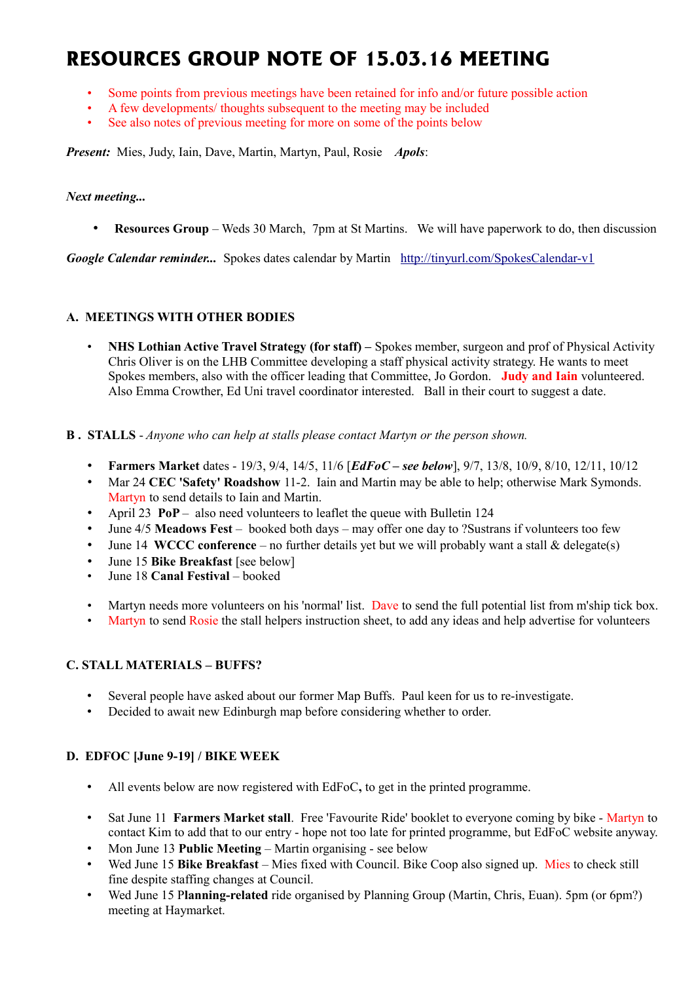# **RESOURCES GROUP NOTE OF 15.03.16 MEETING**

- Some points from previous meetings have been retained for info and/or future possible action
- A few developments/ thoughts subsequent to the meeting may be included
- See also notes of previous meeting for more on some of the points below

*Present:* Mies, Judy, Iain, Dave, Martin, Martyn, Paul, Rosie *Apols*:

#### *Next meeting...*

• **Resources Group** – Weds 30 March, 7pm at St Martins. We will have paperwork to do, then discussion

*Google Calendar reminder...* Spokes dates calendar by Martin <http://tinyurl.com/SpokesCalendar-v1>

## **A. MEETINGS WITH OTHER BODIES**

- **NHS Lothian Active Travel Strategy (for staff) –** Spokes member, surgeon and prof of Physical Activity Chris Oliver is on the LHB Committee developing a staff physical activity strategy. He wants to meet Spokes members, also with the officer leading that Committee, Jo Gordon. **Judy and Iain** volunteered. Also Emma Crowther, Ed Uni travel coordinator interested. Ball in their court to suggest a date.
- **B . STALLS** *Anyone who can help at stalls please contact Martyn or the person shown.*
	- **Farmers Market** dates 19/3, 9/4, 14/5, 11/6 [*EdFoC see below*], 9/7, 13/8, 10/9, 8/10, 12/11, 10/12
	- Mar 24 **CEC 'Safety' Roadshow** 11-2. Iain and Martin may be able to help; otherwise Mark Symonds. Martyn to send details to Iain and Martin.
	- April 23 **PoP** also need volunteers to leaflet the queue with Bulletin 124
	- June 4/5 **Meadows Fest** booked both days may offer one day to ?Sustrans if volunteers too few
	- June 14 **WCCC conference** no further details yet but we will probably want a stall & delegate(s)
	- June 15 **Bike Breakfast** [see below]
	- June 18 **Canal Festival** booked
	- Martyn needs more volunteers on his 'normal' list. Dave to send the full potential list from m'ship tick box.
	- Martyn to send Rosie the stall helpers instruction sheet, to add any ideas and help advertise for volunteers

## **C. STALL MATERIALS – BUFFS?**

- Several people have asked about our former Map Buffs. Paul keen for us to re-investigate.
- Decided to await new Edinburgh map before considering whether to order.

## **D. EDFOC [June 9-19] / BIKE WEEK**

- All events below are now registered with EdFoC**,** to get in the printed programme.
- Sat June 11 **Farmers Market stall**. Free 'Favourite Ride' booklet to everyone coming by bike Martyn to contact Kim to add that to our entry - hope not too late for printed programme, but EdFoC website anyway.
- Mon June 13 **Public Meeting** Martin organising see below
- Wed June 15 **Bike Breakfast** Mies fixed with Council. Bike Coop also signed up. Mies to check still fine despite staffing changes at Council.
- Wed June 15 P**lanning-related** ride organised by Planning Group (Martin, Chris, Euan). 5pm (or 6pm?) meeting at Haymarket.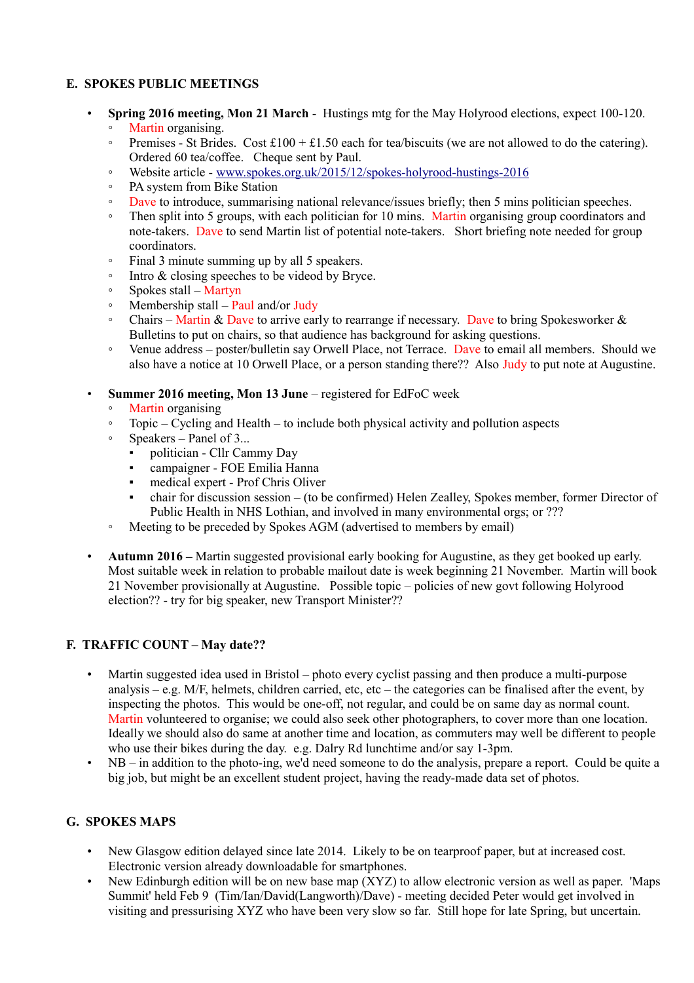## **E. SPOKES PUBLIC MEETINGS**

- **Spring 2016 meeting, Mon 21 March** Hustings mtg for the May Holyrood elections, expect 100-120. ◦ Martin organising.
	- Premises St Brides. Cost £100 + £1.50 each for tea/biscuits (we are not allowed to do the catering). Ordered 60 tea/coffee. Cheque sent by Paul.
	- Website article - [www.spokes.org.uk/2015/12/spokes-holyrood-hustings-2016](http://www.spokes.org.uk/2015/12/spokes-holyrood-hustings-2016)
	- PA system from Bike Station
	- Dave to introduce, summarising national relevance/issues briefly; then 5 mins politician speeches.
	- Then split into 5 groups, with each politician for 10 mins. Martin organising group coordinators and note-takers. Dave to send Martin list of potential note-takers. Short briefing note needed for group coordinators.
	- Final 3 minute summing up by all 5 speakers.
	- Intro & closing speeches to be videod by Bryce.
	- Spokes stall Martyn
	- Membership stall Paul and/or Judy
	- Chairs Martin & Dave to arrive early to rearrange if necessary. Dave to bring Spokesworker & Bulletins to put on chairs, so that audience has background for asking questions.
	- Venue address poster/bulletin say Orwell Place, not Terrace. Dave to email all members. Should we also have a notice at 10 Orwell Place, or a person standing there?? Also Judy to put note at Augustine.

#### • **Summer 2016 meeting, Mon 13 June** – registered for EdFoC week

- Martin organising
- Topic Cycling and Health to include both physical activity and pollution aspects
- Speakers Panel of 3...
	- politician Cllr Cammy Day
	- campaigner FOE Emilia Hanna
	- medical expert Prof Chris Oliver
	- chair for discussion session (to be confirmed) Helen Zealley, Spokes member, former Director of Public Health in NHS Lothian, and involved in many environmental orgs; or ???
- Meeting to be preceded by Spokes AGM (advertised to members by email)
- **Autumn 2016 –** Martin suggested provisional early booking for Augustine, as they get booked up early. Most suitable week in relation to probable mailout date is week beginning 21 November. Martin will book 21 November provisionally at Augustine. Possible topic – policies of new govt following Holyrood election?? - try for big speaker, new Transport Minister??

#### **F. TRAFFIC COUNT – May date??**

- Martin suggested idea used in Bristol photo every cyclist passing and then produce a multi-purpose analysis – e.g. M/F, helmets, children carried, etc, etc – the categories can be finalised after the event, by inspecting the photos. This would be one-off, not regular, and could be on same day as normal count. Martin volunteered to organise; we could also seek other photographers, to cover more than one location. Ideally we should also do same at another time and location, as commuters may well be different to people who use their bikes during the day. e.g. Dalry Rd lunchtime and/or say 1-3pm.
- NB in addition to the photo-ing, we'd need someone to do the analysis, prepare a report. Could be quite a big job, but might be an excellent student project, having the ready-made data set of photos.

## **G. SPOKES MAPS**

- New Glasgow edition delayed since late 2014. Likely to be on tearproof paper, but at increased cost. Electronic version already downloadable for smartphones.
- New Edinburgh edition will be on new base map (XYZ) to allow electronic version as well as paper. 'Maps Summit' held Feb 9 (Tim/Ian/David(Langworth)/Dave) - meeting decided Peter would get involved in visiting and pressurising XYZ who have been very slow so far. Still hope for late Spring, but uncertain.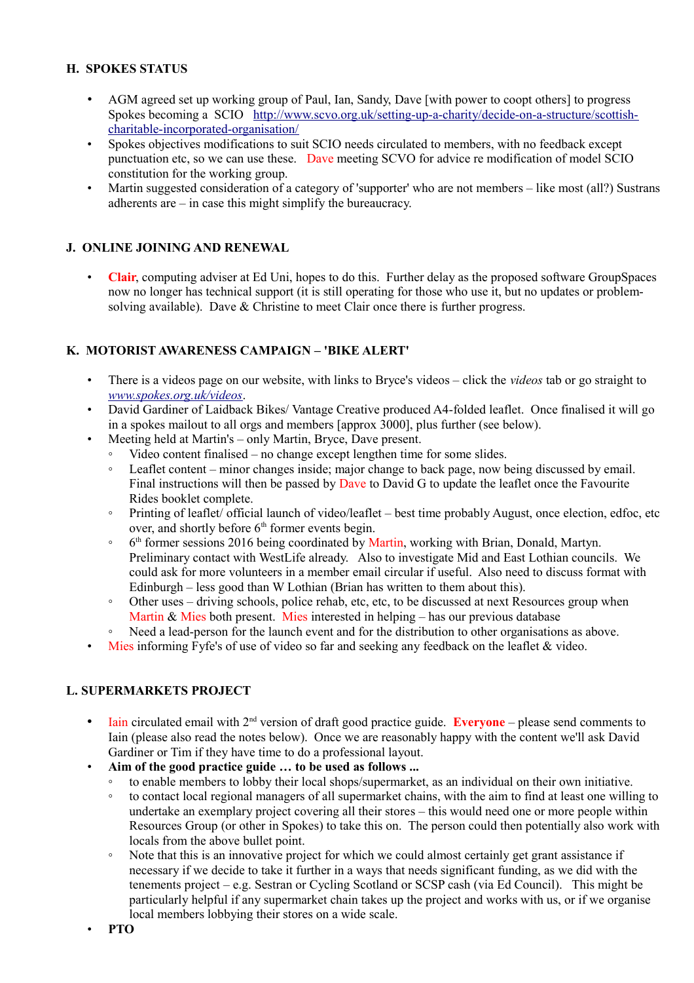## **H. SPOKES STATUS**

- AGM agreed set up working group of Paul, Ian, Sandy, Dave [with power to coopt others] to progress Spokes becoming a SCIO [http://www.scvo.org.uk/setting-up-a-charity/decide-on-a-structure/scottish](http://www.scvo.org.uk/setting-up-a-charity/decide-on-a-structure/scottish-charitable-incorporated-organisation/)[charitable-incorporated-organisation/](http://www.scvo.org.uk/setting-up-a-charity/decide-on-a-structure/scottish-charitable-incorporated-organisation/)
- Spokes objectives modifications to suit SCIO needs circulated to members, with no feedback except punctuation etc, so we can use these. Dave meeting SCVO for advice re modification of model SCIO constitution for the working group.
- Martin suggested consideration of a category of 'supporter' who are not members like most (all?) Sustrans adherents are – in case this might simplify the bureaucracy.

# **J. ONLINE JOINING AND RENEWAL**

• **Clair**, computing adviser at Ed Uni, hopes to do this. Further delay as the proposed software GroupSpaces now no longer has technical support (it is still operating for those who use it, but no updates or problemsolving available). Dave & Christine to meet Clair once there is further progress.

#### **K. MOTORIST AWARENESS CAMPAIGN – 'BIKE ALERT'**

- There is a videos page on our website, with links to Bryce's videos click the *videos* tab or go straight to *[www.spokes.org.uk/videos](http://www.spokes.org.uk/videos)*.
- David Gardiner of Laidback Bikes/ Vantage Creative produced A4-folded leaflet. Once finalised it will go in a spokes mailout to all orgs and members [approx 3000], plus further (see below).
- Meeting held at Martin's only Martin, Bryce, Dave present.
	- Video content finalised no change except lengthen time for some slides.
	- Leaflet content minor changes inside; major change to back page, now being discussed by email. Final instructions will then be passed by Dave to David G to update the leaflet once the Favourite Rides booklet complete.
	- Printing of leaflet/ official launch of video/leaflet best time probably August, once election, edfoc, etc over, and shortly before  $6<sup>th</sup>$  former events begin.
	- $^{\circ}$  $6<sup>th</sup>$  former sessions 2016 being coordinated by Martin, working with Brian, Donald, Martyn. Preliminary contact with WestLife already. Also to investigate Mid and East Lothian councils. We could ask for more volunteers in a member email circular if useful. Also need to discuss format with Edinburgh – less good than W Lothian (Brian has written to them about this).
	- Other uses driving schools, police rehab, etc, etc, to be discussed at next Resources group when Martin  $\&$  Mies both present. Mies interested in helping – has our previous database
	- Need a lead-person for the launch event and for the distribution to other organisations as above.
- Mies informing Fyfe's of use of video so far and seeking any feedback on the leaflet & video.

## **L. SUPERMARKETS PROJECT**

- Iain circulated email with 2<sup>nd</sup> version of draft good practice guide. **Everyone** please send comments to Iain (please also read the notes below). Once we are reasonably happy with the content we'll ask David Gardiner or Tim if they have time to do a professional layout.
- **Aim of the good practice guide … to be used as follows ...**
	- to enable members to lobby their local shops/supermarket, as an individual on their own initiative.
	- to contact local regional managers of all supermarket chains, with the aim to find at least one willing to undertake an exemplary project covering all their stores – this would need one or more people within Resources Group (or other in Spokes) to take this on. The person could then potentially also work with locals from the above bullet point.
	- Note that this is an innovative project for which we could almost certainly get grant assistance if necessary if we decide to take it further in a ways that needs significant funding, as we did with the tenements project – e.g. Sestran or Cycling Scotland or SCSP cash (via Ed Council). This might be particularly helpful if any supermarket chain takes up the project and works with us, or if we organise local members lobbying their stores on a wide scale.